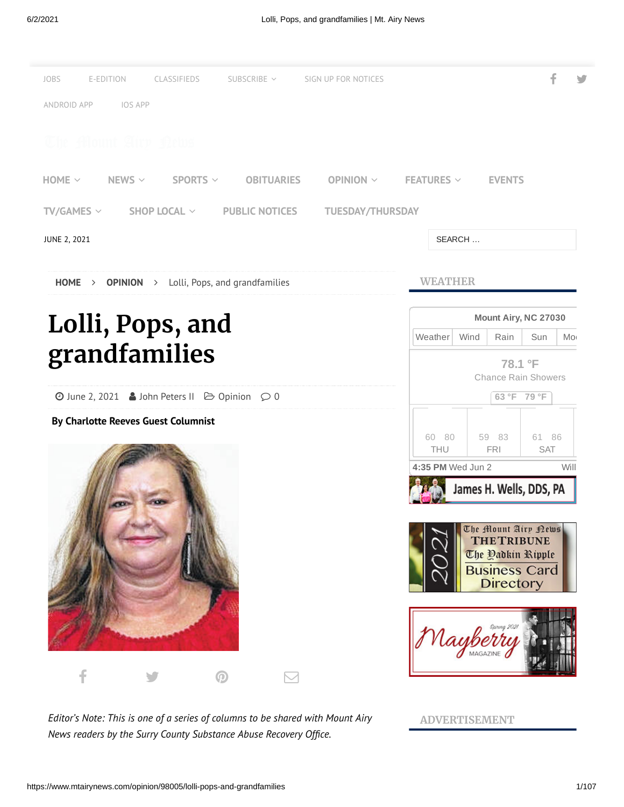

*Editor's Note: This is one of a series of columns to be shared with Mount Airy News* readers by the Surry County Substance Abuse Recovery Office.

**ADVERTISEMENT**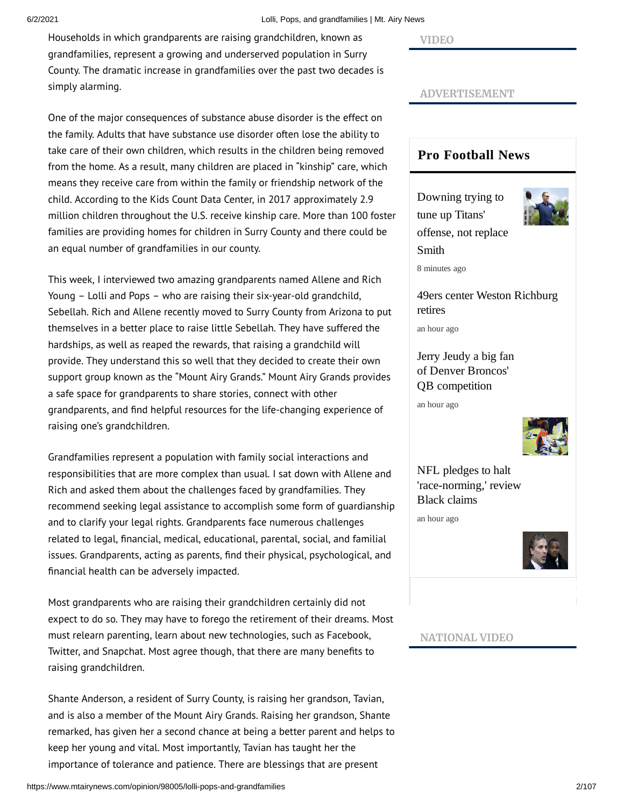6/2/2021 Lolli, Pops, and grandfamilies | Mt. Airy News

Households in which grandparents are raising grandchildren, known as grandfamilies, represent a growing and underserved population in Surry County. The dramatic increase in grandfamilies over the past two decades is simply alarming.

One of the major consequences of substance abuse disorder is the effect on the family. Adults that have substance use disorder often lose the ability to take care of their own children, which results in the children being removed from the home. As a result, many children are placed in "kinship" care, which means they receive care from within the family or friendship network of the child. According to the Kids Count Data Center, in 2017 approximately 2.9 million children throughout the U.S. receive kinship care. More than 100 foster families are providing homes for children in Surry County and there could be an equal number of grandfamilies in our county.

This week, I interviewed two amazing grandparents named Allene and Rich Young – Lolli and Pops – who are raising their six-year-old grandchild, Sebellah. Rich and Allene recently moved to Surry County from Arizona to put themselves in a better place to raise little Sebellah. They have suffered the hardships, as well as reaped the rewards, that raising a grandchild will provide. They understand this so well that they decided to create their own support group known as the "Mount Airy Grands." Mount Airy Grands provides a safe space for grandparents to share stories, connect with other grandparents, and find helpful resources for the life-changing experience of raising one's grandchildren.

Grandfamilies represent a population with family social interactions and responsibilities that are more complex than usual. I sat down with Allene and Rich and asked them about the challenges faced by grandfamilies. They recommend seeking legal assistance to accomplish some form of guardianship and to clarify your legal rights. Grandparents face numerous challenges related to legal, financial, medical, educational, parental, social, and familial issues. Grandparents, acting as parents, find their physical, psychological, and nancial health can be adversely impacted.

Most grandparents who are raising their grandchildren certainly did not expect to do so. They may have to forego the retirement of their dreams. Most must relearn parenting, learn about new technologies, such as Facebook, Twitter, and Snapchat. Most agree though, that there are many benefits to raising grandchildren.

Shante Anderson, a resident of Surry County, is raising her grandson, Tavian, and is also a member of the Mount Airy Grands. Raising her grandson, Shante remarked, has given her a second chance at being a better parent and helps to keep her young and vital. Most importantly, Tavian has taught her the importance of tolerance and patience. There are blessings that are present

## **VIDEO**

## **ADVERTISEMENT**

## **Pro [Football](https://pro32.ap.org/themountairynews/articles) News**

Downing trying to tune up Titans' [offense, not replace](https://pro32.ap.org/themountairynews/article/downing-trying-tune-titans-offense-not-replace-smith) Smith 8 minutes ago



[49ers center Weston Richburg](https://pro32.ap.org/themountairynews/article/49ers-center-weston-richburg-retires) retires

an hour ago

[Jerry Jeudy a big fan](https://pro32.ap.org/themountairynews/article/jerry-jeudy-big-fan-denver-broncos-qb-competition) of Denver Broncos' QB competition

an hour ago



NFL pledges to halt ['race-norming,' review](https://pro32.ap.org/themountairynews/article/nfl-pledges-halt-race-norming-review-black-claims) Black claims

an hour ago



**NATIONAL VIDEO**